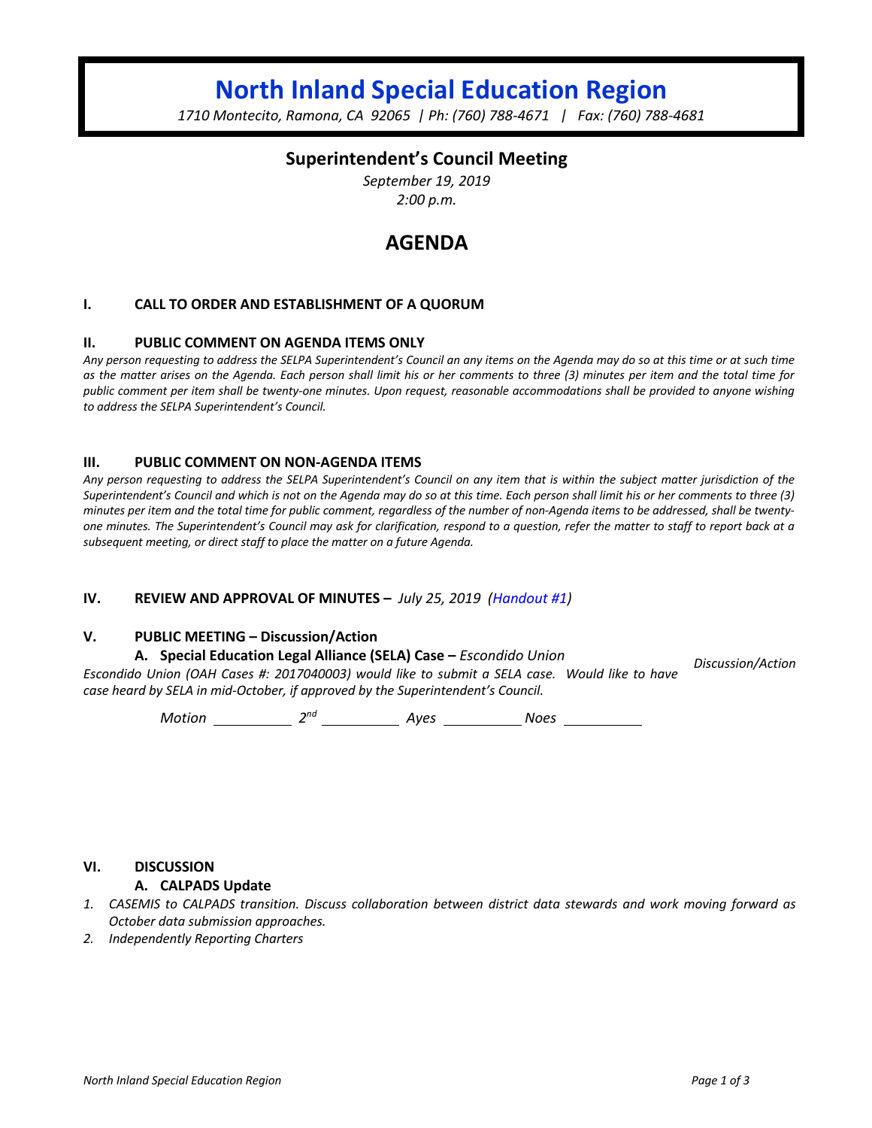# **North Inland Special Education Region**

*1710 Montecito, Ramona, CA 92065 | Ph: (760) 788-4671 | Fax: (760) 788-4681*

### **Superintendent's Council Meeting**

*September 19, 2019 2:00 p.m.*

## **AGENDA**

#### **I. CALL TO ORDER AND ESTABLISHMENT OF A QUORUM**

#### **II. PUBLIC COMMENT ON AGENDA ITEMS ONLY**

*Any person requesting to address the SELPA Superintendent's Council an any items on the Agenda may do so at this time or at such time as the matter arises on the Agenda. Each person shall limit his or her comments to three (3) minutes per item and the total time for public comment per item shall be twenty-one minutes. Upon request, reasonable accommodations shall be provided to anyone wishing to address the SELPA Superintendent's Council.*

#### **III. PUBLIC COMMENT ON NON-AGENDA ITEMS**

*Any person requesting to address the SELPA Superintendent's Council on any item that is within the subject matter jurisdiction of the Superintendent's Council and which is not on the Agenda may do so at this time. Each person shall limit his or her comments to three (3) minutes per item and the total time for public comment, regardless of the number of non-Agenda items to be addressed, shall be twentyone minutes. The Superintendent's Council may ask for clarification, respond to a question, refer the matter to staff to report back at a subsequent meeting, or direct staff to place the matter on a future Agenda.*

#### **IV. REVIEW AND APPROVAL OF MINUTES –** *July 25, 2019 (Handout #1)*

#### **V. PUBLIC MEETING – Discussion/Action**

#### **A. Special Education Legal Alliance (SELA) Case –** *Escondido Union*

*Escondido Union (OAH Cases #: 2017040003) would like to submit a SELA case. Would like to have case heard by SELA in mid-October, if approved by the Superintendent's Council. Discussion/Action*

*Motion* 2<sup>nd</sup> 2<sup>nd</sup> 4yes 2008 Noes

#### **VI. DISCUSSION**

#### **A. CALPADS Update**

- *1. CASEMIS to CALPADS transition. Discuss collaboration between district data stewards and work moving forward as October data submission approaches.*
- *2. Independently Reporting Charters*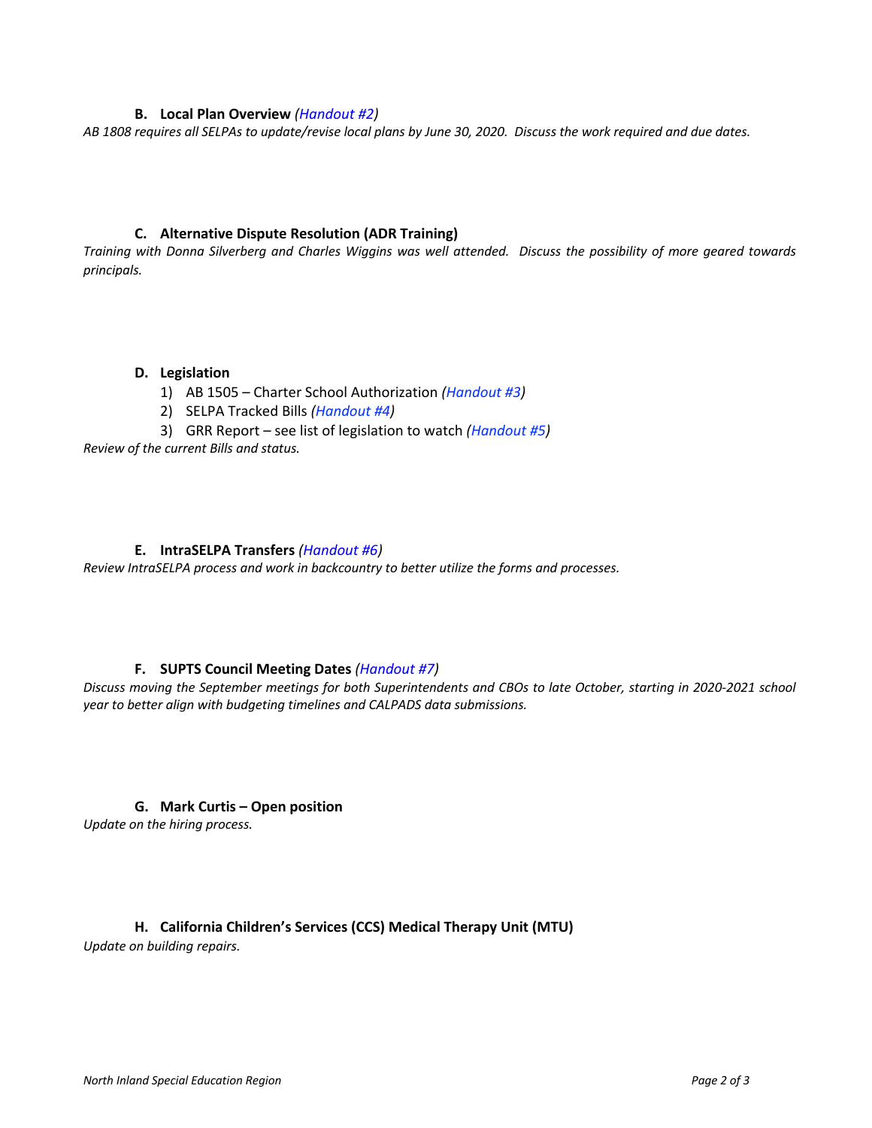#### **B. Local Plan Overview** *(Handout #2)*

*AB 1808 requires all SELPAs to update/revise local plans by June 30, 2020. Discuss the work required and due dates.* 

#### **C. Alternative Dispute Resolution (ADR Training)**

*Training with Donna Silverberg and Charles Wiggins was well attended. Discuss the possibility of more geared towards principals.* 

#### **D. Legislation**

- 1) AB 1505 Charter School Authorization *(Handout #3)*
- 2) SELPA Tracked Bills *(Handout #4)*
- 3) GRR Report see list of legislation to watch *(Handout #5)*

*Review of the current Bills and status.*

#### **E. IntraSELPA Transfers** *(Handout #6)*

*Review IntraSELPA process and work in backcountry to better utilize the forms and processes.*

#### **F. SUPTS Council Meeting Dates** *(Handout #7)*

*Discuss moving the September meetings for both Superintendents and CBOs to late October, starting in 2020-2021 school year to better align with budgeting timelines and CALPADS data submissions.* 

#### **G. Mark Curtis – Open position**

*Update on the hiring process.*

#### **H. California Children's Services (CCS) Medical Therapy Unit (MTU)**

*Update on building repairs.*